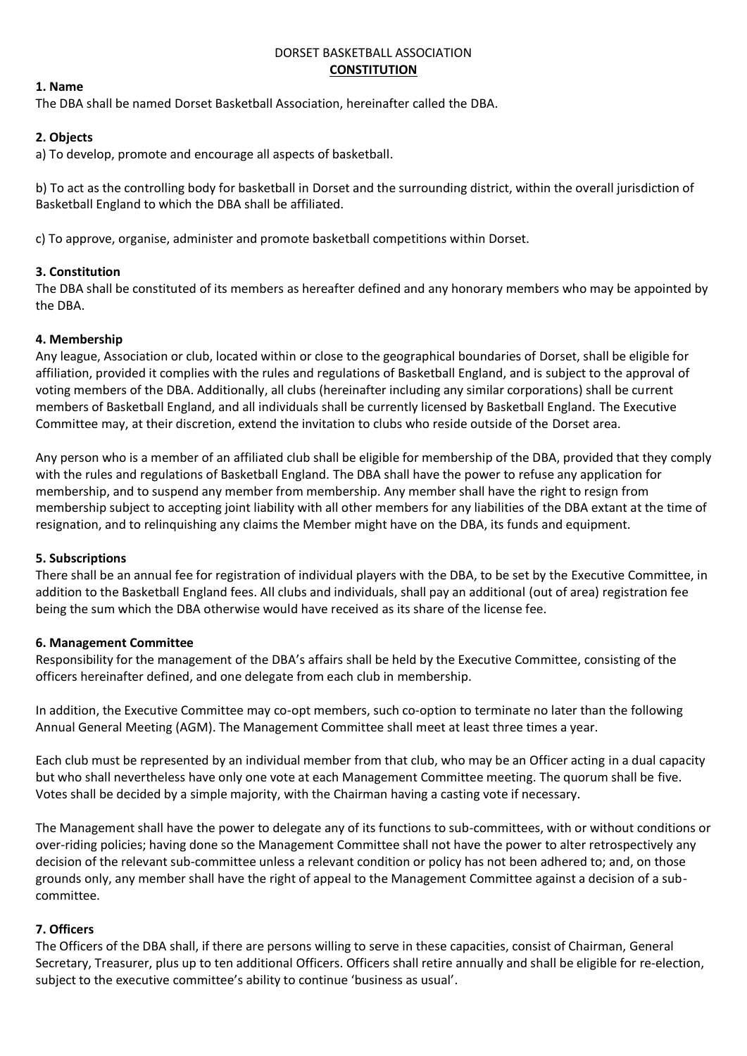#### DORSET BASKETBALL ASSOCIATION **CONSTITUTION**

# **1. Name**

The DBA shall be named Dorset Basketball Association, hereinafter called the DBA.

## **2. Objects**

a) To develop, promote and encourage all aspects of basketball.

b) To act as the controlling body for basketball in Dorset and the surrounding district, within the overall jurisdiction of Basketball England to which the DBA shall be affiliated.

c) To approve, organise, administer and promote basketball competitions within Dorset.

# **3. Constitution**

The DBA shall be constituted of its members as hereafter defined and any honorary members who may be appointed by the DBA.

### **4. Membership**

Any league, Association or club, located within or close to the geographical boundaries of Dorset, shall be eligible for affiliation, provided it complies with the rules and regulations of Basketball England, and is subject to the approval of voting members of the DBA. Additionally, all clubs (hereinafter including any similar corporations) shall be current members of Basketball England, and all individuals shall be currently licensed by Basketball England. The Executive Committee may, at their discretion, extend the invitation to clubs who reside outside of the Dorset area.

Any person who is a member of an affiliated club shall be eligible for membership of the DBA, provided that they comply with the rules and regulations of Basketball England. The DBA shall have the power to refuse any application for membership, and to suspend any member from membership. Any member shall have the right to resign from membership subject to accepting joint liability with all other members for any liabilities of the DBA extant at the time of resignation, and to relinquishing any claims the Member might have on the DBA, its funds and equipment.

#### **5. Subscriptions**

There shall be an annual fee for registration of individual players with the DBA, to be set by the Executive Committee, in addition to the Basketball England fees. All clubs and individuals, shall pay an additional (out of area) registration fee being the sum which the DBA otherwise would have received as its share of the license fee.

#### **6. Management Committee**

Responsibility for the management of the DBA's affairs shall be held by the Executive Committee, consisting of the officers hereinafter defined, and one delegate from each club in membership.

In addition, the Executive Committee may co-opt members, such co-option to terminate no later than the following Annual General Meeting (AGM). The Management Committee shall meet at least three times a year.

Each club must be represented by an individual member from that club, who may be an Officer acting in a dual capacity but who shall nevertheless have only one vote at each Management Committee meeting. The quorum shall be five. Votes shall be decided by a simple majority, with the Chairman having a casting vote if necessary.

The Management shall have the power to delegate any of its functions to sub-committees, with or without conditions or over-riding policies; having done so the Management Committee shall not have the power to alter retrospectively any decision of the relevant sub-committee unless a relevant condition or policy has not been adhered to; and, on those grounds only, any member shall have the right of appeal to the Management Committee against a decision of a subcommittee.

#### **7. Officers**

The Officers of the DBA shall, if there are persons willing to serve in these capacities, consist of Chairman, General Secretary, Treasurer, plus up to ten additional Officers. Officers shall retire annually and shall be eligible for re-election, subject to the executive committee's ability to continue 'business as usual'.